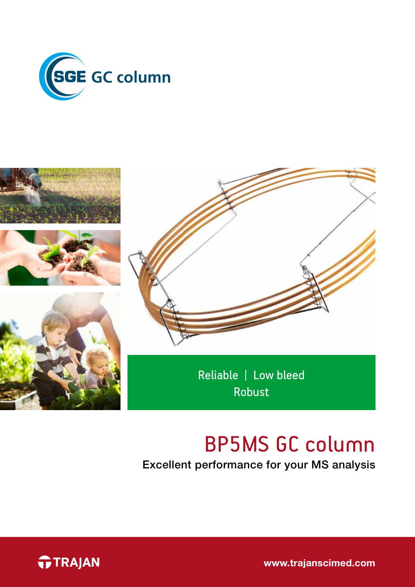



# BP5MS GC column

Excellent performance for your MS analysis



www.trajanscimed.com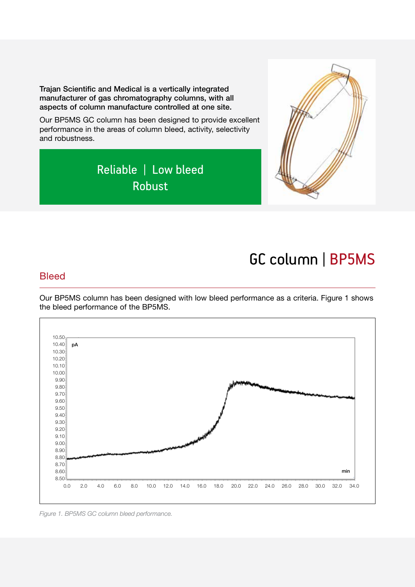Trajan Scientific and Medical is a vertically integrated manufacturer of gas chromatography columns, with all aspects of column manufacture controlled at one site.

Our BP5MS GC column has been designed to provide excellent performance in the areas of column bleed, activity, selectivity and robustness.





## GC column | BP5MS

#### **Bleed**

Our BP5MS column has been designed with low bleed performance as a criteria. Figure 1 shows the bleed performance of the BP5MS.



*Figure 1. BP5MS GC column bleed performance.*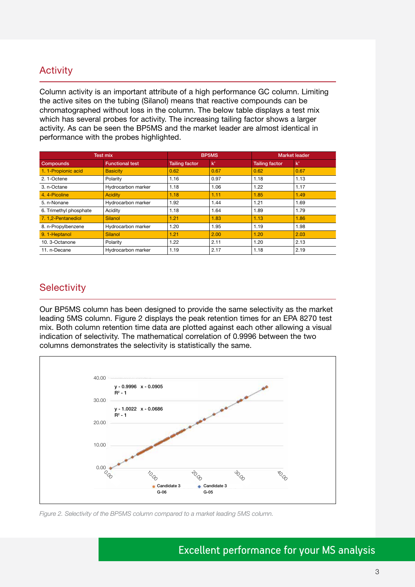### **Activity**

Column activity is an important attribute of a high performance GC column. Limiting the active sites on the tubing (Silanol) means that reactive compounds can be chromatographed without loss in the column. The below table displays a test mix which has several probes for activity. The increasing tailing factor shows a larger activity. As can be seen the BP5MS and the market leader are almost identical in performance with the probes highlighted.

| <b>Test mix</b>        |                        | BP5MS                 |               | <b>Market leader</b>  |               |
|------------------------|------------------------|-----------------------|---------------|-----------------------|---------------|
| Compounds              | <b>Functional test</b> | <b>Tailing factor</b> | $\mathbf{k}'$ | <b>Tailing factor</b> | $\mathbf{k}'$ |
| 1. 1-Propionic acid    | <b>Basicity</b>        | 0.62                  | 0.67          | 0.62                  | 0.67          |
| 2.1-Octene             | Polarity               | 1.16                  | 0.97          | 1.18                  | 1.13          |
| 3. n-Octane            | Hydrocarbon marker     | 1.18                  | 1.06          | 1.22                  | 1.17          |
| 4.4-Picoline           | <b>Acidity</b>         | 1.18                  | 1.11          | 1.85                  | 1.49          |
| 5. n-Nonane            | Hydrocarbon marker     | 1.92                  | 1.44          | 1.21                  | 1.69          |
| 6. Trimethyl phosphate | Acidity                | 1.18                  | 1.64          | 1.89                  | 1.79          |
| 7.1,2-Pentanediol      | Silanol                | 1.21                  | 1.83          | 1.13                  | 1.86          |
| 8. n-Propylbenzene     | Hydrocarbon marker     | 1.20                  | 1.95          | 1.19                  | 1.98          |
| 9.1-Heptanol           | Silanol                | 1.21                  | 2.00          | 1.20                  | 2.03          |
| 10.3-Octanone          | Polarity               | 1.22                  | 2.11          | 1.20                  | 2.13          |
| 11. n-Decane           | Hydrocarbon marker     | 1.19                  | 2.17          | 1.18                  | 2.19          |

### **Selectivity**

Our BP5MS column has been designed to provide the same selectivity as the market leading 5MS column. Figure 2 displays the peak retention times for an EPA 8270 test mix. Both column retention time data are plotted against each other allowing a visual indication of selectivity. The mathematical correlation of 0.9996 between the two columns demonstrates the selectivity is statistically the same.



*Figure 2. Selectivity of the BP5MS column compared to a market leading 5MS column.*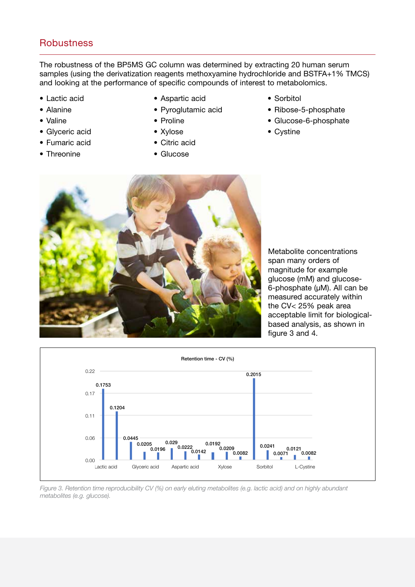### **Robustness**

The robustness of the BP5MS GC column was determined by extracting 20 human serum samples (using the derivatization reagents methoxyamine hydrochloride and BSTFA+1% TMCS) and looking at the performance of specific compounds of interest to metabolomics.

- Lactic acid
- Alanine
- Valine
- Glyceric acid
- Fumaric acid
- Threonine
- Aspartic acid
- Pyroglutamic acid
- Proline
- Xylose
- Citric acid
- Glucose
- Sorbitol
- Ribose-5-phosphate
- Glucose-6-phosphate
- Cystine



Metabolite concentrations span many orders of magnitude for example glucose (mM) and glucose-6-phosphate (µM). All can be measured accurately within the CV< 25% peak area acceptable limit for biologicalbased analysis, as shown in figure 3 and 4.



*Figure 3. Retention time reproducibility CV (%) on early eluting metabolites (e.g. lactic acid) and on highly abundant metabolites (e.g. glucose).*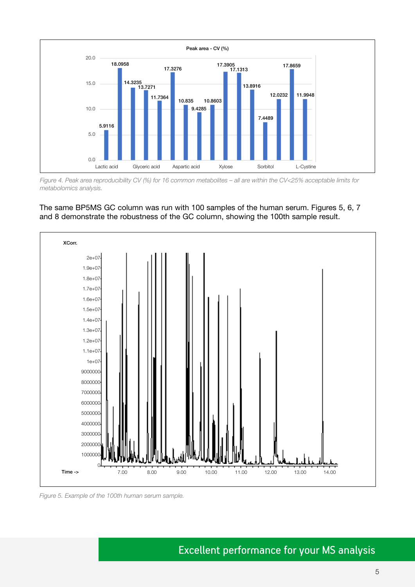

*Figure 4. Peak area reproducibility CV (%) for 16 common metabolites – all are within the CV<25% acceptable limits for metabolomics analysis.*





*Figure 5. Example of the 100th human serum sample.*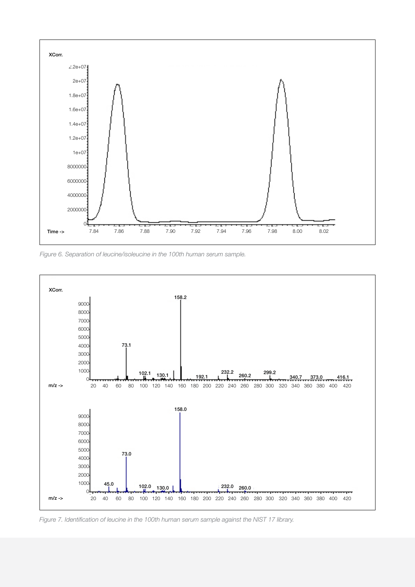

*Figure 6. Separation of leucine/isoleucine in the 100th human serum sample.*



*Figure 7. Identification of leucine in the 100th human serum sample against the NIST 17 library.*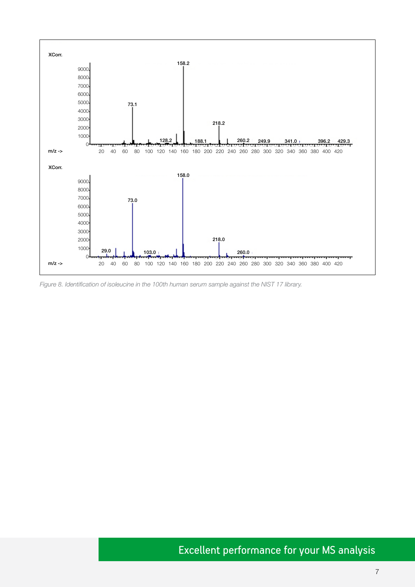

*Figure 8. Identification of isoleucine in the 100th human serum sample against the NIST 17 library.*

### Excellent performance for your MS analysis